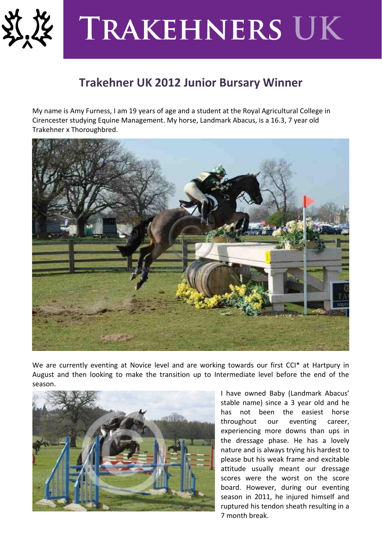

## **TRAKEHNERS UK**

## **Trakehner UK 2012 Junior Bursary Winner**

My name is Amy Furness, I am 19 years of age and a student at the Royal Agricultural College in Cirencester studying Equine Management. My horse, Landmark Abacus, is a 16.3, 7 year old Trakehner x Thoroughbred.



We are currently eventing at Novice level and are working towards our first CCI\* at Hartpury in August and then looking to make the transition up to Intermediate level before the end of the season.



I have owned Baby (Landmark Abacus' stable name) since a 3 year old and he has not been the easiest horse throughout our eventing career, experiencing more downs than ups in the dressage phase. He has a lovely nature and is always trying his hardest to please but his weak frame and excitable attitude usually meant our dressage scores were the worst on the score board. However, during our eventing season in 2011, he injured himself and ruptured his tendon sheath resulting in a 7 month break.